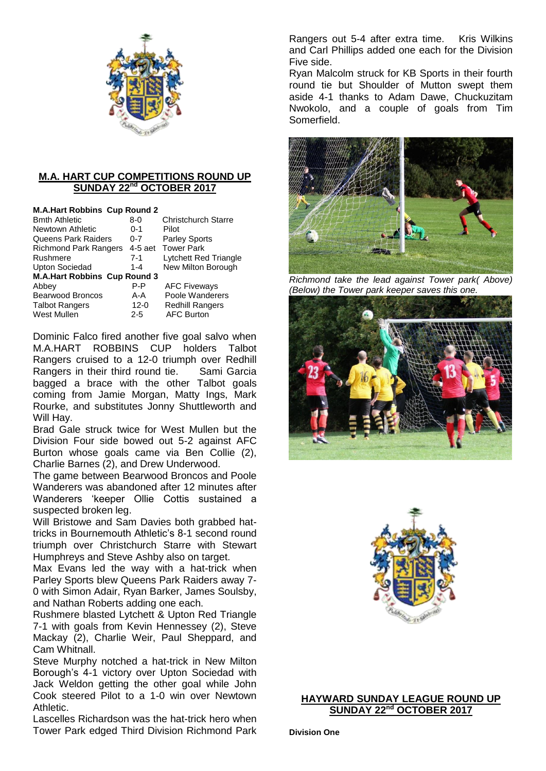

# **M.A. HART CUP COMPETITIONS ROUND UP SUNDAY 22nd OCTOBER 2017**

| <b>M.A.Hart Robbins Cup Round 2</b> |          |                            |
|-------------------------------------|----------|----------------------------|
| <b>Bmth Athletic</b>                | 8-0      | <b>Christchurch Starre</b> |
| Newtown Athletic                    | $0 - 1$  | Pilot                      |
| Queens Park Raiders                 | $0 - 7$  | <b>Parley Sports</b>       |
| <b>Richmond Park Rangers</b>        |          | 4-5 aet Tower Park         |
| Rushmere                            | $7-1$    | Lytchett Red Triangle      |
| <b>Upton Sociedad</b>               | $1 - 4$  | New Milton Borough         |
| <b>M.A.Hart Robbins Cup Round 3</b> |          |                            |
| Abbey                               | P-P      | <b>AFC Fiveways</b>        |
| Bearwood Broncos                    | A-A      | Poole Wanderers            |
| <b>Talbot Rangers</b>               | $12 - 0$ | <b>Redhill Rangers</b>     |
| West Mullen                         | $2 - 5$  | <b>AFC Burton</b>          |

Dominic Falco fired another five goal salvo when M.A.HART ROBBINS CUP holders Talbot Rangers cruised to a 12-0 triumph over Redhill Rangers in their third round tie. Sami Garcia bagged a brace with the other Talbot goals coming from Jamie Morgan, Matty Ings, Mark Rourke, and substitutes Jonny Shuttleworth and Will Hay.

Brad Gale struck twice for West Mullen but the Division Four side bowed out 5-2 against AFC Burton whose goals came via Ben Collie (2), Charlie Barnes (2), and Drew Underwood.

The game between Bearwood Broncos and Poole Wanderers was abandoned after 12 minutes after Wanderers 'keeper Ollie Cottis sustained a suspected broken leg.

Will Bristowe and Sam Davies both grabbed hattricks in Bournemouth Athletic's 8-1 second round triumph over Christchurch Starre with Stewart Humphreys and Steve Ashby also on target.

Max Evans led the way with a hat-trick when Parley Sports blew Queens Park Raiders away 7- 0 with Simon Adair, Ryan Barker, James Soulsby, and Nathan Roberts adding one each.

Rushmere blasted Lytchett & Upton Red Triangle 7-1 with goals from Kevin Hennessey (2), Steve Mackay (2), Charlie Weir, Paul Sheppard, and Cam Whitnall.

Steve Murphy notched a hat-trick in New Milton Borough's 4-1 victory over Upton Sociedad with Jack Weldon getting the other goal while John Cook steered Pilot to a 1-0 win over Newtown Athletic.

Lascelles Richardson was the hat-trick hero when Tower Park edged Third Division Richmond Park Rangers out 5-4 after extra time. Kris Wilkins and Carl Phillips added one each for the Division Five side.

Ryan Malcolm struck for KB Sports in their fourth round tie but Shoulder of Mutton swept them aside 4-1 thanks to Adam Dawe, Chuckuzitam Nwokolo, and a couple of goals from Tim Somerfield.



*Richmond take the lead against Tower park( Above) (Below) the Tower park keeper saves this one.*





# **HAYWARD SUNDAY LEAGUE ROUND UP SUNDAY 22nd OCTOBER 2017**

**Division One**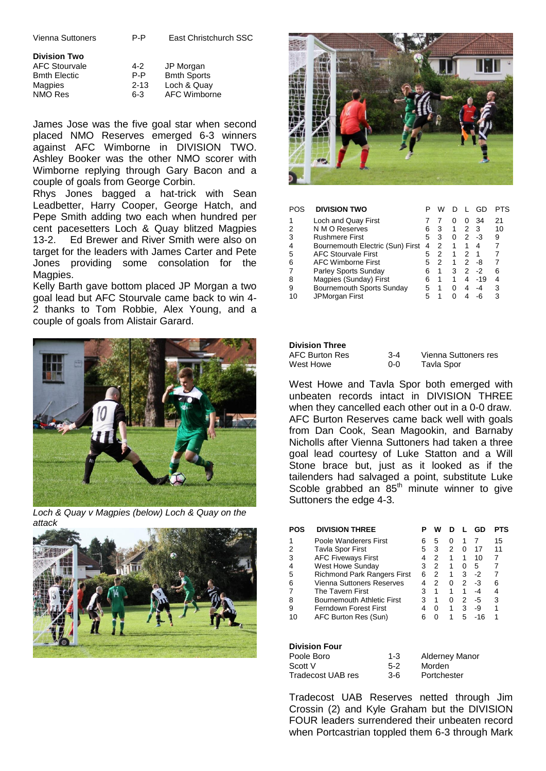Vienna Suttoners P-P East Christchurch SSC

| <b>Division Two</b>  |          |
|----------------------|----------|
| <b>AFC Stourvale</b> | $4 - 2$  |
| <b>Bmth Electic</b>  | P-P      |
| Magpies              | $2 - 13$ |
| NMO Res              | 6-3      |

JP Morgan **Bmth Sports** Loch & Quay AFC Wimborne

James Jose was the five goal star when second placed NMO Reserves emerged 6-3 winners against AFC Wimborne in DIVISION TWO. Ashley Booker was the other NMO scorer with Wimborne replying through Gary Bacon and a couple of goals from George Corbin.

Rhys Jones bagged a hat-trick with Sean Leadbetter, Harry Cooper, George Hatch, and Pepe Smith adding two each when hundred per cent pacesetters Loch & Quay blitzed Magpies 13-2. Ed Brewer and River Smith were also on target for the leaders with James Carter and Pete Jones providing some consolation for the Magpies.

Kelly Barth gave bottom placed JP Morgan a two goal lead but AFC Stourvale came back to win 4- 2 thanks to Tom Robbie, Alex Young, and a couple of goals from Alistair Garard.



*Loch & Quay v Magpies (below) Loch & Quay on the attack*





| POS | <b>DIVISION TWO</b>              |   | w |              |              | GD.   |    |
|-----|----------------------------------|---|---|--------------|--------------|-------|----|
|     | Loch and Quay First              |   |   | $\mathbf{0}$ | $\mathbf{0}$ | 34    | 21 |
|     | N M O Reserves                   | 6 | 3 | 1            | 2            | -3    | 10 |
| 3   | <b>Rushmere First</b>            | 5 | 3 | 0            | 2            | -3    | 9  |
| 4   | Bournemouth Electric (Sun) First | 4 | 2 | 1            |              | 4     |    |
| 5   | <b>AFC Stourvale First</b>       | 5 | 2 | 1            | 2            | 1     |    |
| 6   | <b>AFC Wimborne First</b>        | 5 | 2 | 1            | 2            | -8    |    |
|     | Parley Sports Sunday             | 6 |   | з            | 2            | -2    | 6  |
| 8   | Magpies (Sunday) First           | 6 |   | 1            | 4            | $-19$ |    |
| 9   | Bournemouth Sports Sunday        | 5 |   | 0            | 4            | -4    | 3  |
| 10  | JPMorgan First                   | 5 |   | O            | Δ            |       | з  |

### **Division Three**

| AFC Burton Res | $3-4$ | Vienna Suttoners res |
|----------------|-------|----------------------|
| West Howe      | ი-ი   | Tavla Spor           |

West Howe and Tavla Spor both emerged with unbeaten records intact in DIVISION THREE when they cancelled each other out in a 0-0 draw. AFC Burton Reserves came back well with goals from Dan Cook, Sean Magookin, and Barnaby Nicholls after Vienna Suttoners had taken a three goal lead courtesy of Luke Statton and a Will Stone brace but, just as it looked as if the tailenders had salvaged a point, substitute Luke Scoble grabbed an  $85<sup>th</sup>$  minute winner to give Suttoners the edge 4-3.

| POS | <b>DIVISION THREE</b>              | P  | w |   |   | GD  | PTS |
|-----|------------------------------------|----|---|---|---|-----|-----|
|     | Poole Wanderers First              | 6  | 5 | O |   |     | 15  |
|     | <b>Tavla Spor First</b>            | 5  | 3 | 2 | 0 | 17  | 11  |
| 3   | <b>AFC Fiveways First</b>          | 4  | 2 |   | 1 | 10  | 7   |
| 4   | West Howe Sunday                   | 3  | 2 |   | O | 5   |     |
| 5   | <b>Richmond Park Rangers First</b> | 6  | 2 | 1 | 3 | -2  | 7   |
| 6   | Vienna Suttoners Reserves          | 4  | 2 | O | 2 | -3  | 6   |
|     | The Tavern First                   | 3  |   |   | 1 | -4  | 4   |
| 8   | <b>Bournemouth Athletic First</b>  | 3  | 1 | ∩ | 2 | -5  | 3   |
| 9   | Ferndown Forest First              | 4  | O | 1 | 3 | -9  |     |
| 10  | AFC Burton Res (Sun)               | ิค | ŋ |   | 5 | -16 |     |
|     |                                    |    |   |   |   |     |     |

### **Division Four**

| $1 - 3$ | <b>Alderney Manor</b> |
|---------|-----------------------|
| $5-2$   | Morden                |
| $3-6$   | Portchester           |
|         |                       |

Tradecost UAB Reserves netted through Jim Crossin (2) and Kyle Graham but the DIVISION FOUR leaders surrendered their unbeaten record when Portcastrian toppled them 6-3 through Mark